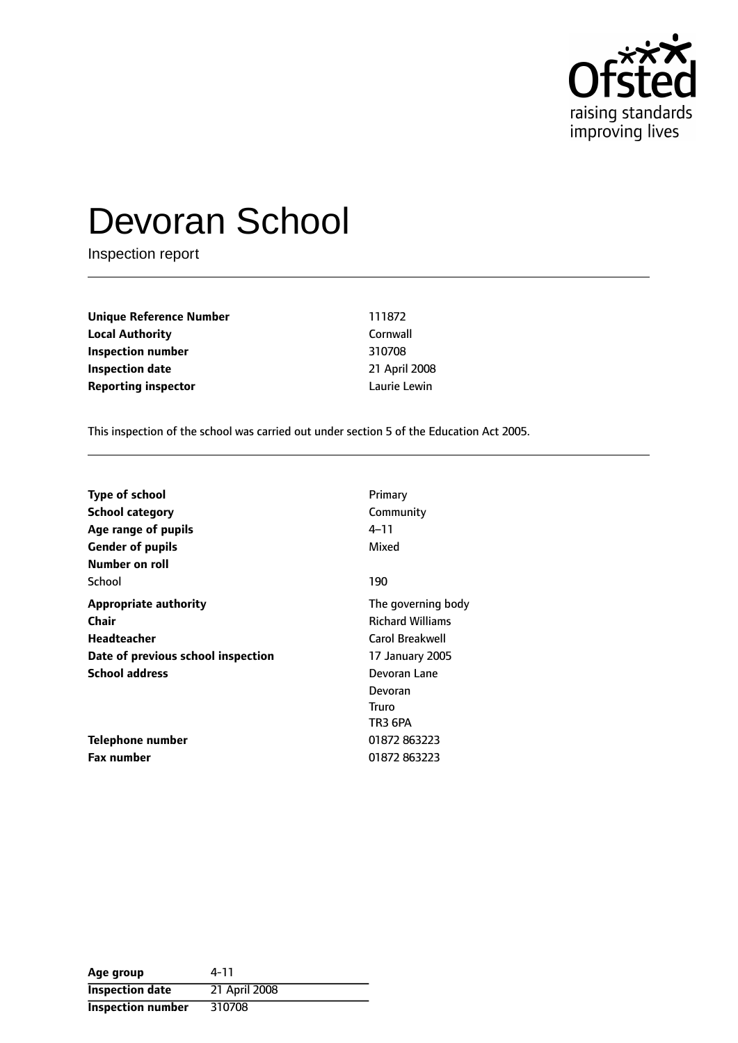

# Devoran School

Inspection report

| Unique Reference Number    | 111872        |
|----------------------------|---------------|
| Local Authority            | Cornwall      |
| Inspection number          | 310708        |
| Inspection date            | 21 April 2008 |
| <b>Reporting inspector</b> | Laurie Lewin  |
|                            |               |

This inspection of the school was carried out under section 5 of the Education Act 2005.

| <b>Type of school</b>              | Primary                 |
|------------------------------------|-------------------------|
| School category                    | Community               |
| Age range of pupils                | 4–11                    |
| <b>Gender of pupils</b>            | Mixed                   |
| Number on roll                     |                         |
| School                             | 190                     |
| <b>Appropriate authority</b>       | The governing body      |
| Chair                              | <b>Richard Williams</b> |
| <b>Headteacher</b>                 | Carol Breakwell         |
| Date of previous school inspection | 17 January 2005         |
| <b>School address</b>              | Devoran Lane            |
|                                    | Devoran                 |
|                                    | Truro                   |
|                                    | TR3 6PA                 |
| Telephone number                   | 01872 863223            |
| <b>Fax number</b>                  | 01872863223             |

| Age group                | 4-11          |
|--------------------------|---------------|
| <b>Inspection date</b>   | 21 April 2008 |
| <b>Inspection number</b> | 310708        |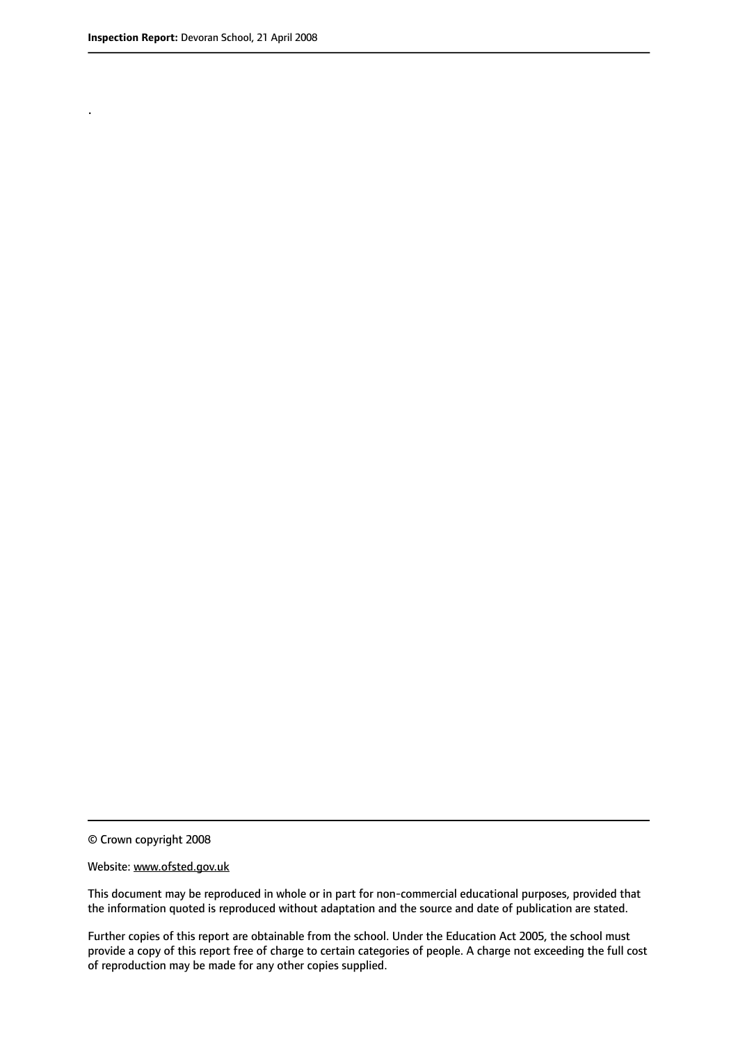.

© Crown copyright 2008

#### Website: www.ofsted.gov.uk

This document may be reproduced in whole or in part for non-commercial educational purposes, provided that the information quoted is reproduced without adaptation and the source and date of publication are stated.

Further copies of this report are obtainable from the school. Under the Education Act 2005, the school must provide a copy of this report free of charge to certain categories of people. A charge not exceeding the full cost of reproduction may be made for any other copies supplied.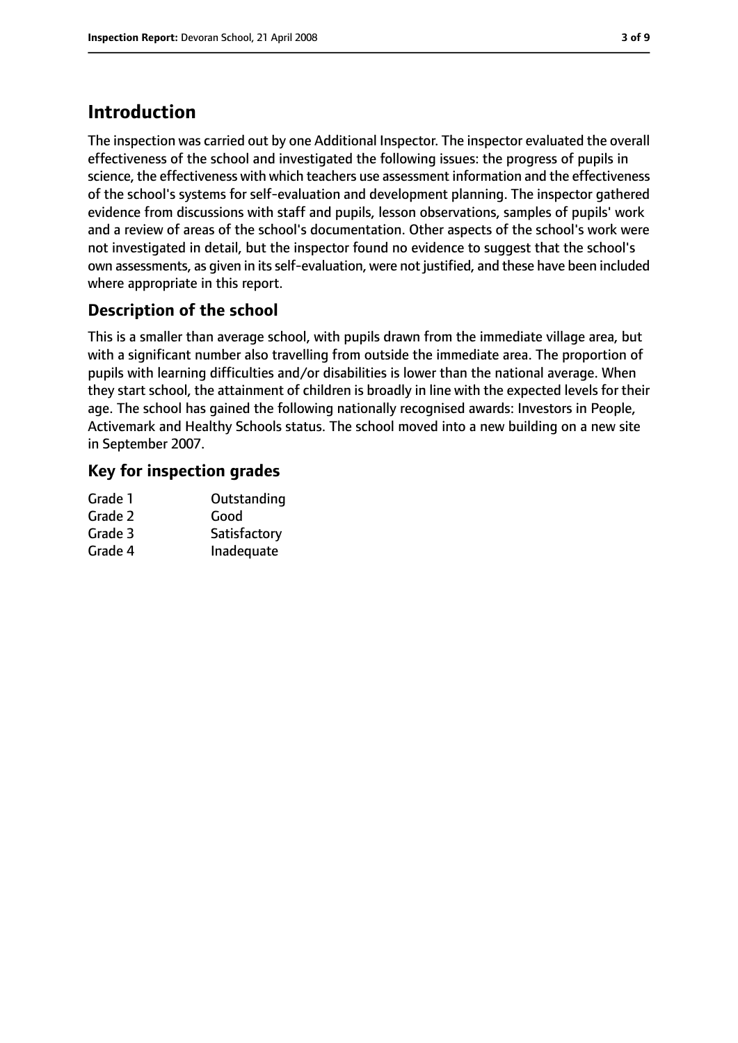# **Introduction**

The inspection was carried out by one Additional Inspector. The inspector evaluated the overall effectiveness of the school and investigated the following issues: the progress of pupils in science, the effectiveness with which teachers use assessment information and the effectiveness of the school's systems for self-evaluation and development planning. The inspector gathered evidence from discussions with staff and pupils, lesson observations, samples of pupils' work and a review of areas of the school's documentation. Other aspects of the school's work were not investigated in detail, but the inspector found no evidence to suggest that the school's own assessments, as given in its self-evaluation, were not justified, and these have been included where appropriate in this report.

# **Description of the school**

This is a smaller than average school, with pupils drawn from the immediate village area, but with a significant number also travelling from outside the immediate area. The proportion of pupils with learning difficulties and/or disabilities is lower than the national average. When they start school, the attainment of children is broadly in line with the expected levels for their age. The school has gained the following nationally recognised awards: Investors in People, Activemark and Healthy Schools status. The school moved into a new building on a new site in September 2007.

## **Key for inspection grades**

| Grade 1 | Outstanding  |
|---------|--------------|
| Grade 2 | Good         |
| Grade 3 | Satisfactory |
| Grade 4 | Inadequate   |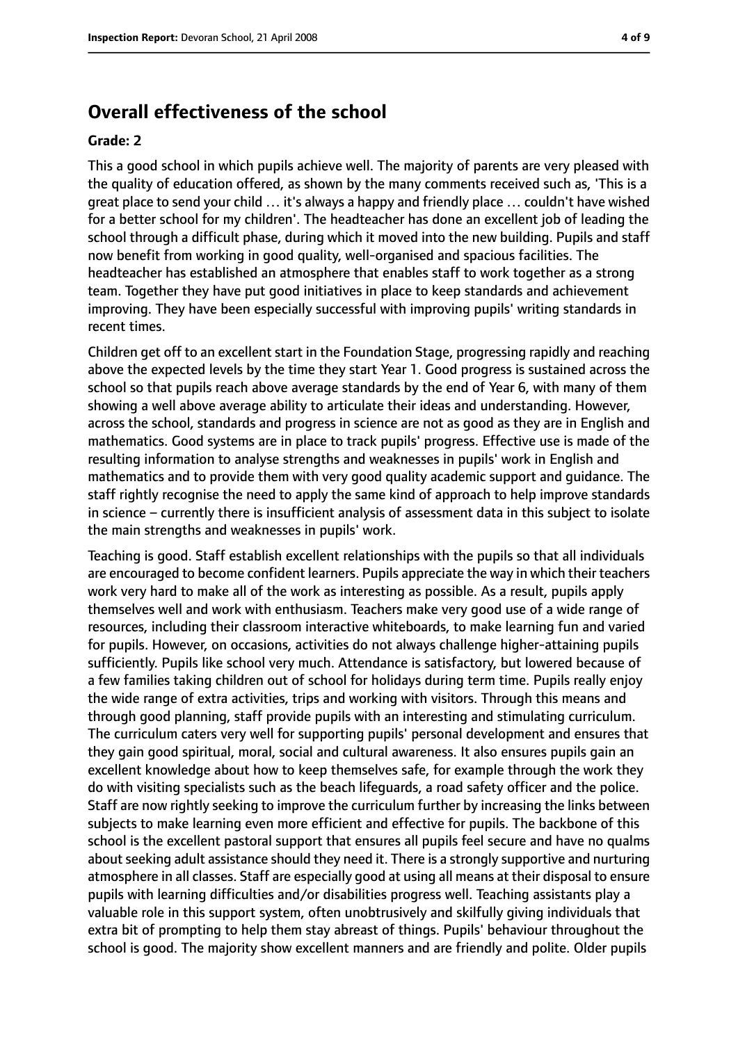# **Overall effectiveness of the school**

#### **Grade: 2**

This a good school in which pupils achieve well. The majority of parents are very pleased with the quality of education offered, as shown by the many comments received such as, 'This is a great place to send your child … it's always a happy and friendly place … couldn't have wished for a better school for my children'. The headteacher has done an excellent job of leading the school through a difficult phase, during which it moved into the new building. Pupils and staff now benefit from working in good quality, well-organised and spacious facilities. The headteacher has established an atmosphere that enables staff to work together as a strong team. Together they have put good initiatives in place to keep standards and achievement improving. They have been especially successful with improving pupils' writing standards in recent times.

Children get off to an excellent start in the Foundation Stage, progressing rapidly and reaching above the expected levels by the time they start Year 1. Good progress is sustained across the school so that pupils reach above average standards by the end of Year 6, with many of them showing a well above average ability to articulate their ideas and understanding. However, across the school, standards and progress in science are not as good as they are in English and mathematics. Good systems are in place to track pupils' progress. Effective use is made of the resulting information to analyse strengths and weaknesses in pupils' work in English and mathematics and to provide them with very good quality academic support and guidance. The staff rightly recognise the need to apply the same kind of approach to help improve standards in science - currently there is insufficient analysis of assessment data in this subject to isolate the main strengths and weaknesses in pupils' work.

Teaching is good. Staff establish excellent relationships with the pupils so that all individuals are encouraged to become confident learners. Pupils appreciate the way in which their teachers work very hard to make all of the work as interesting as possible. As a result, pupils apply themselves well and work with enthusiasm. Teachers make very good use of a wide range of resources, including their classroom interactive whiteboards, to make learning fun and varied for pupils. However, on occasions, activities do not always challenge higher-attaining pupils sufficiently. Pupils like school very much. Attendance is satisfactory, but lowered because of a few families taking children out of school for holidays during term time. Pupils really enjoy the wide range of extra activities, trips and working with visitors. Through this means and through good planning, staff provide pupils with an interesting and stimulating curriculum. The curriculum caters very well for supporting pupils' personal development and ensures that they gain good spiritual, moral, social and cultural awareness. It also ensures pupils gain an excellent knowledge about how to keep themselves safe, for example through the work they do with visiting specialists such as the beach lifeguards, a road safety officer and the police. Staff are now rightly seeking to improve the curriculum further by increasing the links between subjects to make learning even more efficient and effective for pupils. The backbone of this school is the excellent pastoral support that ensures all pupils feel secure and have no qualms about seeking adult assistance should they need it. There is a strongly supportive and nurturing atmosphere in all classes. Staff are especially good at using all means at their disposal to ensure pupils with learning difficulties and/or disabilities progress well. Teaching assistants play a valuable role in this support system, often unobtrusively and skilfully giving individuals that extra bit of prompting to help them stay abreast of things. Pupils' behaviour throughout the school is good. The majority show excellent manners and are friendly and polite. Older pupils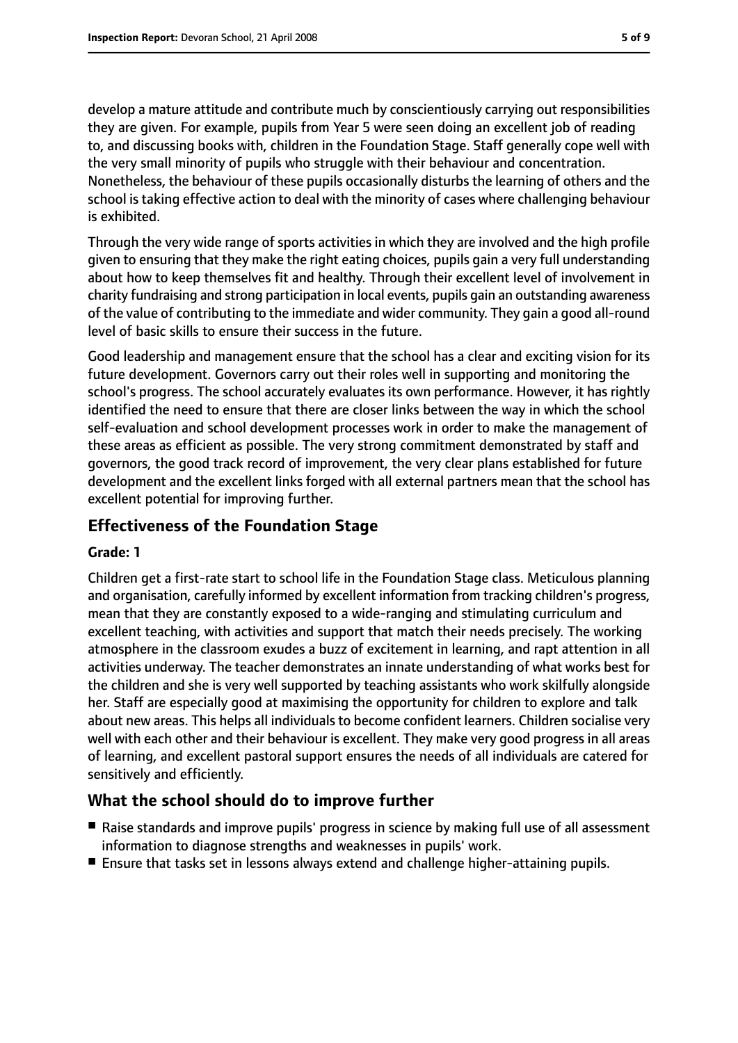develop a mature attitude and contribute much by conscientiously carrying out responsibilities they are given. For example, pupils from Year 5 were seen doing an excellent job of reading to, and discussing books with, children in the Foundation Stage. Staff generally cope well with the very small minority of pupils who struggle with their behaviour and concentration. Nonetheless, the behaviour of these pupils occasionally disturbs the learning of others and the school is taking effective action to deal with the minority of cases where challenging behaviour is exhibited.

Through the very wide range of sports activities in which they are involved and the high profile given to ensuring that they make the right eating choices, pupils gain a very full understanding about how to keep themselves fit and healthy. Through their excellent level of involvement in charity fundraising and strong participation in local events, pupils gain an outstanding awareness of the value of contributing to the immediate and wider community. They gain a good all-round level of basic skills to ensure their success in the future.

Good leadership and management ensure that the school has a clear and exciting vision for its future development. Governors carry out their roles well in supporting and monitoring the school's progress. The school accurately evaluates its own performance. However, it has rightly identified the need to ensure that there are closer links between the way in which the school self-evaluation and school development processes work in order to make the management of these areas as efficient as possible. The very strong commitment demonstrated by staff and governors, the good track record of improvement, the very clear plans established for future development and the excellent links forged with all external partners mean that the school has excellent potential for improving further.

### **Effectiveness of the Foundation Stage**

#### **Grade: 1**

Children get a first-rate start to school life in the Foundation Stage class. Meticulous planning and organisation, carefully informed by excellent information from tracking children's progress, mean that they are constantly exposed to a wide-ranging and stimulating curriculum and excellent teaching, with activities and support that match their needs precisely. The working atmosphere in the classroom exudes a buzz of excitement in learning, and rapt attention in all activities underway. The teacher demonstrates an innate understanding of what works best for the children and she is very well supported by teaching assistants who work skilfully alongside her. Staff are especially good at maximising the opportunity for children to explore and talk about new areas. This helps all individuals to become confident learners. Children socialise very well with each other and their behaviour is excellent. They make very good progress in all areas of learning, and excellent pastoral support ensures the needs of all individuals are catered for sensitively and efficiently.

### **What the school should do to improve further**

- Raise standards and improve pupils' progress in science by making full use of all assessment information to diagnose strengths and weaknesses in pupils' work.
- Ensure that tasks set in lessons always extend and challenge higher-attaining pupils.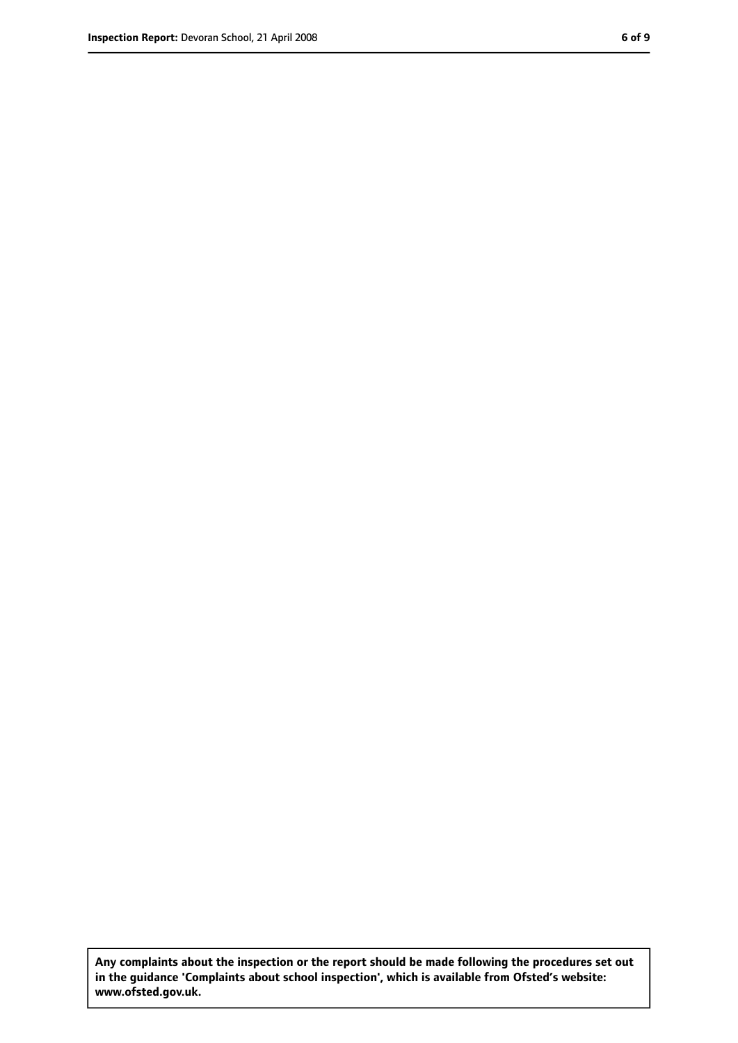**Any complaints about the inspection or the report should be made following the procedures set out in the guidance 'Complaints about school inspection', which is available from Ofsted's website: www.ofsted.gov.uk.**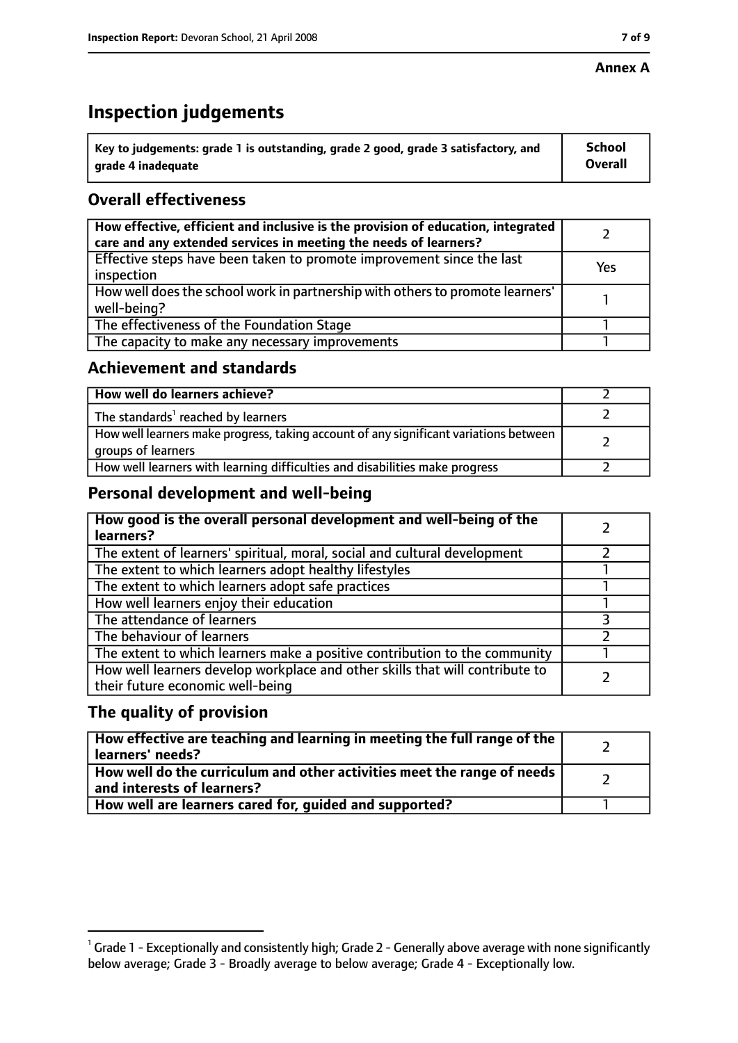### **Annex A**

# **Inspection judgements**

| $^{\circ}$ Key to judgements: grade 1 is outstanding, grade 2 good, grade 3 satisfactory, and | <b>School</b>  |
|-----------------------------------------------------------------------------------------------|----------------|
| arade 4 inadequate                                                                            | <b>Overall</b> |

# **Overall effectiveness**

| How effective, efficient and inclusive is the provision of education, integrated<br>care and any extended services in meeting the needs of learners? |     |
|------------------------------------------------------------------------------------------------------------------------------------------------------|-----|
| Effective steps have been taken to promote improvement since the last<br>inspection                                                                  | Yes |
| How well does the school work in partnership with others to promote learners'<br>well-being?                                                         |     |
| The effectiveness of the Foundation Stage                                                                                                            |     |
| The capacity to make any necessary improvements                                                                                                      |     |

## **Achievement and standards**

| How well do learners achieve?                                                                               |  |
|-------------------------------------------------------------------------------------------------------------|--|
| The standards <sup>1</sup> reached by learners                                                              |  |
| How well learners make progress, taking account of any significant variations between<br>groups of learners |  |
| How well learners with learning difficulties and disabilities make progress                                 |  |

# **Personal development and well-being**

| How good is the overall personal development and well-being of the<br>learners?                                  |  |
|------------------------------------------------------------------------------------------------------------------|--|
| The extent of learners' spiritual, moral, social and cultural development                                        |  |
| The extent to which learners adopt healthy lifestyles                                                            |  |
| The extent to which learners adopt safe practices                                                                |  |
| How well learners enjoy their education                                                                          |  |
| The attendance of learners                                                                                       |  |
| The behaviour of learners                                                                                        |  |
| The extent to which learners make a positive contribution to the community                                       |  |
| How well learners develop workplace and other skills that will contribute to<br>their future economic well-being |  |

# **The quality of provision**

| How effective are teaching and learning in meeting the full range of the<br>learners' needs?          |  |
|-------------------------------------------------------------------------------------------------------|--|
| How well do the curriculum and other activities meet the range of needs<br>and interests of learners? |  |
| How well are learners cared for, quided and supported?                                                |  |

 $^1$  Grade 1 - Exceptionally and consistently high; Grade 2 - Generally above average with none significantly below average; Grade 3 - Broadly average to below average; Grade 4 - Exceptionally low.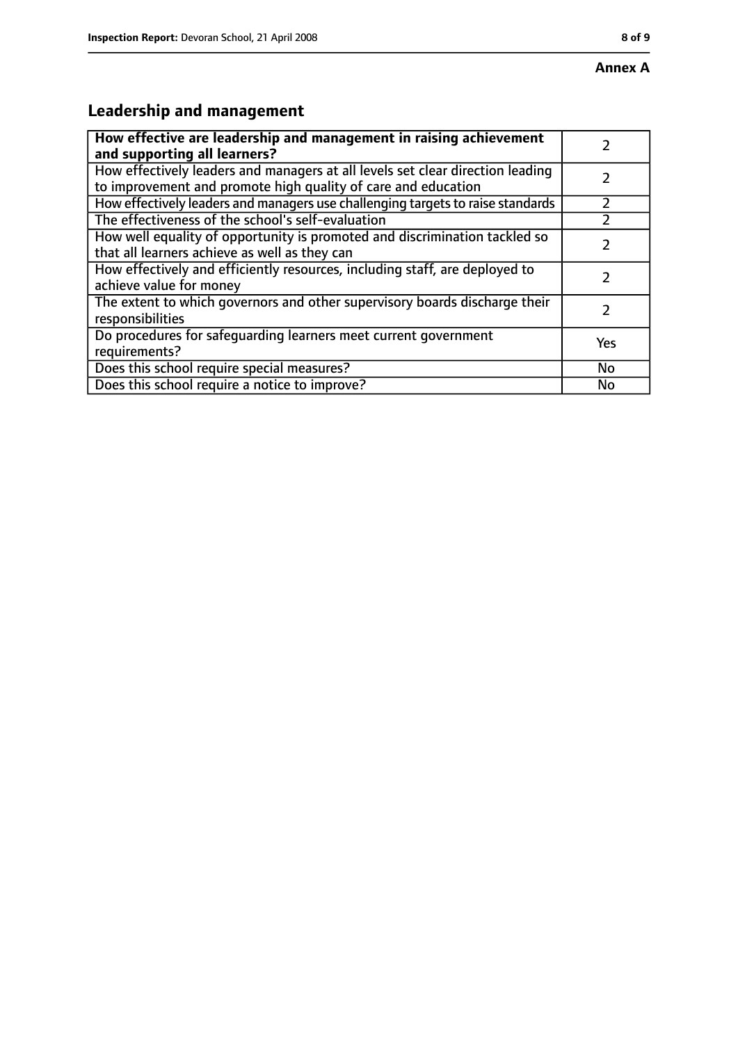#### **Annex A**

# **Leadership and management**

| How effective are leadership and management in raising achievement<br>and supporting all learners?                                              |     |
|-------------------------------------------------------------------------------------------------------------------------------------------------|-----|
| How effectively leaders and managers at all levels set clear direction leading<br>to improvement and promote high quality of care and education |     |
| How effectively leaders and managers use challenging targets to raise standards                                                                 |     |
| The effectiveness of the school's self-evaluation                                                                                               |     |
| How well equality of opportunity is promoted and discrimination tackled so<br>that all learners achieve as well as they can                     |     |
| How effectively and efficiently resources, including staff, are deployed to<br>achieve value for money                                          | 7   |
| The extent to which governors and other supervisory boards discharge their<br>responsibilities                                                  |     |
| Do procedures for safequarding learners meet current government<br>requirements?                                                                | Yes |
| Does this school require special measures?                                                                                                      | No  |
| Does this school require a notice to improve?                                                                                                   | No  |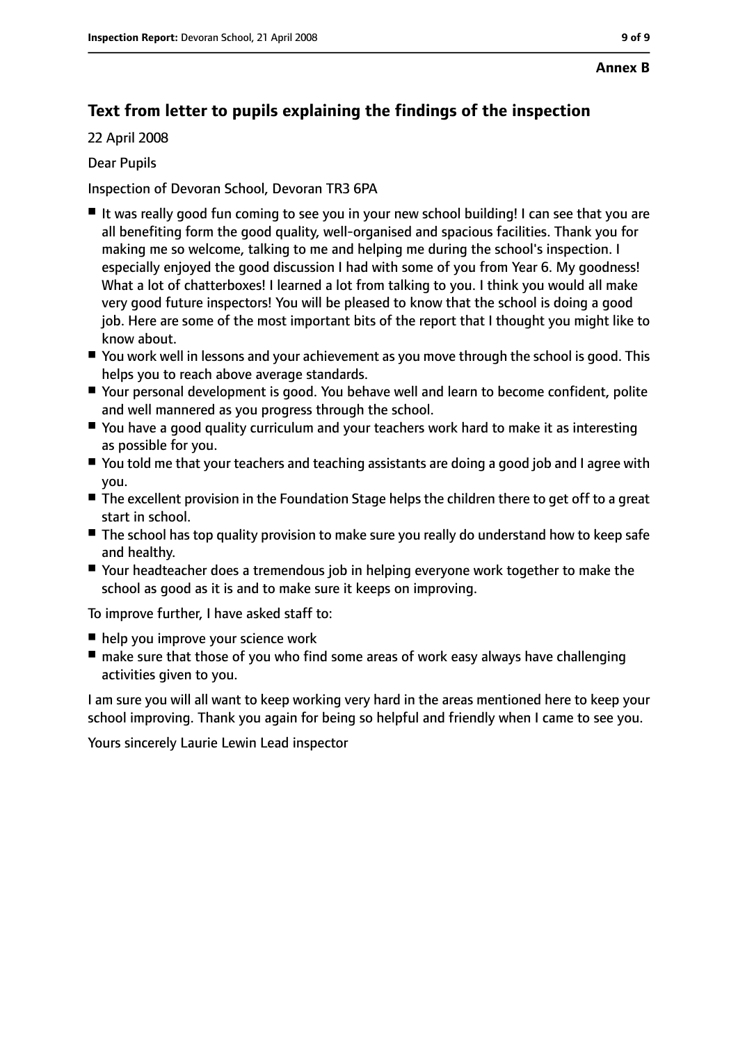# **Text from letter to pupils explaining the findings of the inspection**

22 April 2008

### Dear Pupils

Inspection of Devoran School, Devoran TR3 6PA

- It was really good fun coming to see you in your new school building! I can see that you are all benefiting form the good quality, well-organised and spacious facilities. Thank you for making me so welcome, talking to me and helping me during the school's inspection. I especially enjoyed the good discussion I had with some of you from Year 6. My goodness! What a lot of chatterboxes! I learned a lot from talking to you. I think you would all make very good future inspectors! You will be pleased to know that the school is doing a good job. Here are some of the most important bits of the report that I thought you might like to know about.
- You work well in lessons and your achievement as you move through the school is good. This helps you to reach above average standards.
- Your personal development is good. You behave well and learn to become confident, polite and well mannered as you progress through the school.
- You have a good quality curriculum and your teachers work hard to make it as interesting as possible for you.
- You told me that your teachers and teaching assistants are doing a good job and I agree with you.
- The excellent provision in the Foundation Stage helps the children there to get off to a great start in school.
- The school has top quality provision to make sure you really do understand how to keep safe and healthy.
- Your headteacher does a tremendous job in helping everyone work together to make the school as good as it is and to make sure it keeps on improving.

To improve further, I have asked staff to:

- help you improve your science work
- make sure that those of you who find some areas of work easy always have challenging activities given to you.

I am sure you will all want to keep working very hard in the areas mentioned here to keep your school improving. Thank you again for being so helpful and friendly when I came to see you.

Yours sincerely Laurie Lewin Lead inspector